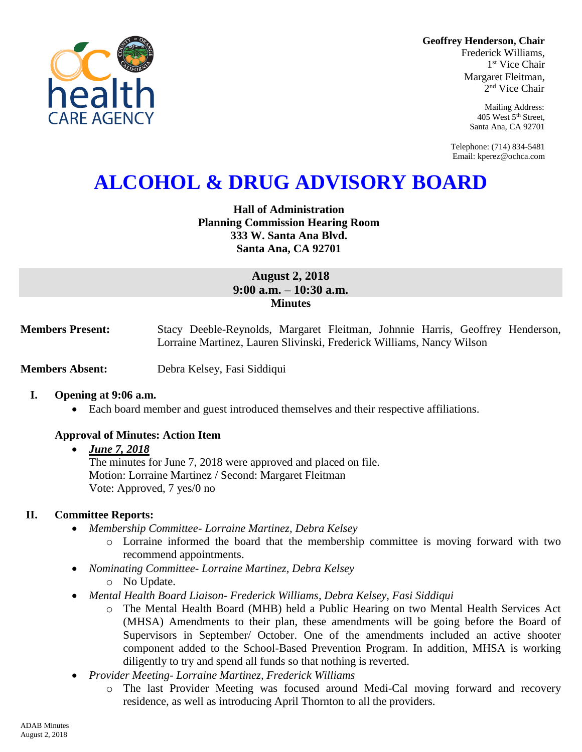**Geoffrey Henderson, Chair**

Frederick Williams, 1 st Vice Chair Margaret Fleitman, 2 nd Vice Chair

> Mailing Address: 405 West 5th Street, Santa Ana, CA 92701

Telephone: (714) 834-5481 Email: kperez@ochca.com

# **ALCOHOL & DRUG ADVISORY BOARD**

## **Hall of Administration Planning Commission Hearing Room 333 W. Santa Ana Blvd. Santa Ana, CA 92701**

## **August 2, 2018 9:00 a.m. – 10:30 a.m. Minutes**

**Members Present:** Stacy Deeble-Reynolds, Margaret Fleitman, Johnnie Harris, Geoffrey Henderson, Lorraine Martinez, Lauren Slivinski, Frederick Williams, Nancy Wilson

**Members Absent:** Debra Kelsey, Fasi Siddiqui

#### **I. Opening at 9:06 a.m.**

Each board member and guest introduced themselves and their respective affiliations.

#### **Approval of Minutes: Action Item**

#### *June 7, 2018*

The minutes for June 7, 2018 were approved and placed on file. Motion: Lorraine Martinez / Second: Margaret Fleitman Vote: Approved, 7 yes/0 no

#### **II. Committee Reports:**

- *Membership Committee- Lorraine Martinez, Debra Kelsey* 
	- o Lorraine informed the board that the membership committee is moving forward with two recommend appointments.
- *Nominating Committee- Lorraine Martinez, Debra Kelsey*
	- o No Update.
- *Mental Health Board Liaison- Frederick Williams, Debra Kelsey, Fasi Siddiqui*
	- o The Mental Health Board (MHB) held a Public Hearing on two Mental Health Services Act (MHSA) Amendments to their plan, these amendments will be going before the Board of Supervisors in September/ October. One of the amendments included an active shooter component added to the School-Based Prevention Program. In addition, MHSA is working diligently to try and spend all funds so that nothing is reverted.
- *Provider Meeting- Lorraine Martinez, Frederick Williams*
	- o The last Provider Meeting was focused around Medi-Cal moving forward and recovery residence, as well as introducing April Thornton to all the providers.

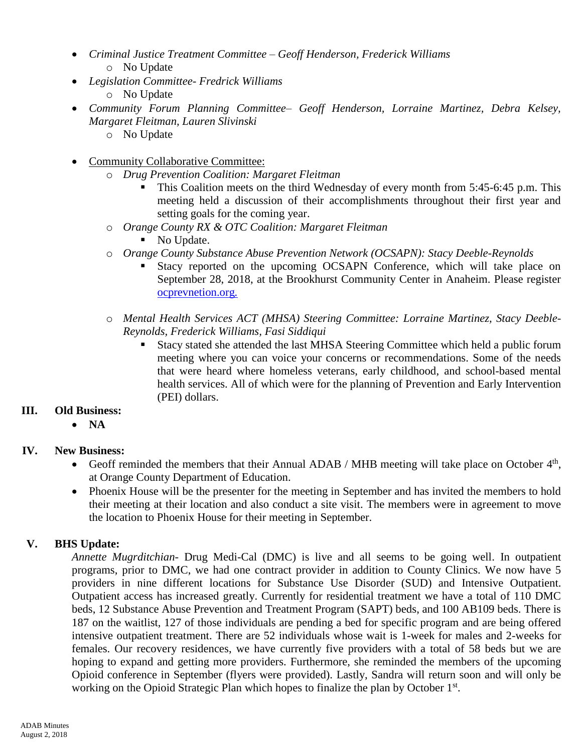- *Criminal Justice Treatment Committee – Geoff Henderson, Frederick Williams* o No Update
- *Legislation Committee- Fredrick Williams*
	- o No Update
- *Community Forum Planning Committee– Geoff Henderson, Lorraine Martinez, Debra Kelsey, Margaret Fleitman, Lauren Slivinski*
	- o No Update
- Community Collaborative Committee:
	- o *Drug Prevention Coalition: Margaret Fleitman*
		- This Coalition meets on the third Wednesday of every month from 5:45-6:45 p.m. This meeting held a discussion of their accomplishments throughout their first year and setting goals for the coming year.
	- o *Orange County RX & OTC Coalition: Margaret Fleitman*
		- No Update.
	- o *Orange County Substance Abuse Prevention Network (OCSAPN): Stacy Deeble-Reynolds*
		- Stacy reported on the upcoming OCSAPN Conference, which will take place on September 28, 2018, at the Brookhurst Community Center in Anaheim. Please register ocprevnetion.org*.*
	- o *Mental Health Services ACT (MHSA) Steering Committee: Lorraine Martinez, Stacy Deeble-Reynolds, Frederick Williams, Fasi Siddiqui*
		- Stacy stated she attended the last MHSA Steering Committee which held a public forum meeting where you can voice your concerns or recommendations. Some of the needs that were heard where homeless veterans, early childhood, and school-based mental health services. All of which were for the planning of Prevention and Early Intervention (PEI) dollars.

## **III. Old Business:**

**NA**

## **IV. New Business:**

- Geoff reminded the members that their Annual ADAB / MHB meeting will take place on October 4<sup>th</sup>, at Orange County Department of Education.
- Phoenix House will be the presenter for the meeting in September and has invited the members to hold their meeting at their location and also conduct a site visit. The members were in agreement to move the location to Phoenix House for their meeting in September.

## **V. BHS Update:**

*Annette Mugrditchian-* Drug Medi-Cal (DMC) is live and all seems to be going well. In outpatient programs, prior to DMC, we had one contract provider in addition to County Clinics. We now have 5 providers in nine different locations for Substance Use Disorder (SUD) and Intensive Outpatient. Outpatient access has increased greatly. Currently for residential treatment we have a total of 110 DMC beds, 12 Substance Abuse Prevention and Treatment Program (SAPT) beds, and 100 AB109 beds. There is 187 on the waitlist, 127 of those individuals are pending a bed for specific program and are being offered intensive outpatient treatment. There are 52 individuals whose wait is 1-week for males and 2-weeks for females. Our recovery residences, we have currently five providers with a total of 58 beds but we are hoping to expand and getting more providers. Furthermore, she reminded the members of the upcoming Opioid conference in September (flyers were provided). Lastly, Sandra will return soon and will only be working on the Opioid Strategic Plan which hopes to finalize the plan by October  $1<sup>st</sup>$ .